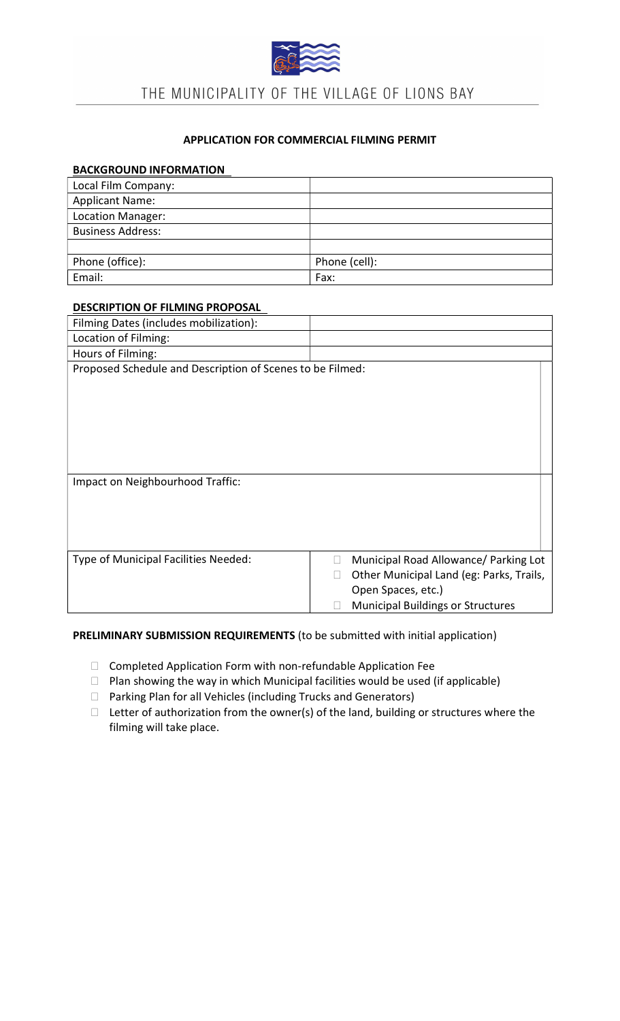

# APPLICATION FOR COMMERCIAL FILMING PERMIT

#### BACKGROUND INFORMATION

| Local Film Company:      |               |
|--------------------------|---------------|
| <b>Applicant Name:</b>   |               |
| Location Manager:        |               |
| <b>Business Address:</b> |               |
|                          |               |
| Phone (office):          | Phone (cell): |
| Email:                   | Fax:          |

#### DESCRIPTION OF FILMING PROPOSAL

| Filming Dates (includes mobilization):                    |                                                    |  |
|-----------------------------------------------------------|----------------------------------------------------|--|
| Location of Filming:                                      |                                                    |  |
| Hours of Filming:                                         |                                                    |  |
| Proposed Schedule and Description of Scenes to be Filmed: |                                                    |  |
|                                                           |                                                    |  |
|                                                           |                                                    |  |
|                                                           |                                                    |  |
|                                                           |                                                    |  |
|                                                           |                                                    |  |
|                                                           |                                                    |  |
| Impact on Neighbourhood Traffic:                          |                                                    |  |
|                                                           |                                                    |  |
|                                                           |                                                    |  |
|                                                           |                                                    |  |
|                                                           |                                                    |  |
| Type of Municipal Facilities Needed:                      | Municipal Road Allowance/ Parking Lot              |  |
|                                                           | Other Municipal Land (eg: Parks, Trails,<br>$\Box$ |  |
|                                                           | Open Spaces, etc.)                                 |  |
|                                                           | <b>Municipal Buildings or Structures</b>           |  |

#### PRELIMINARY SUBMISSION REQUIREMENTS (to be submitted with initial application)

- Completed Application Form with non-refundable Application Fee
- $\Box$  Plan showing the way in which Municipal facilities would be used (if applicable)
- □ Parking Plan for all Vehicles (including Trucks and Generators)
- $\Box$  Letter of authorization from the owner(s) of the land, building or structures where the filming will take place.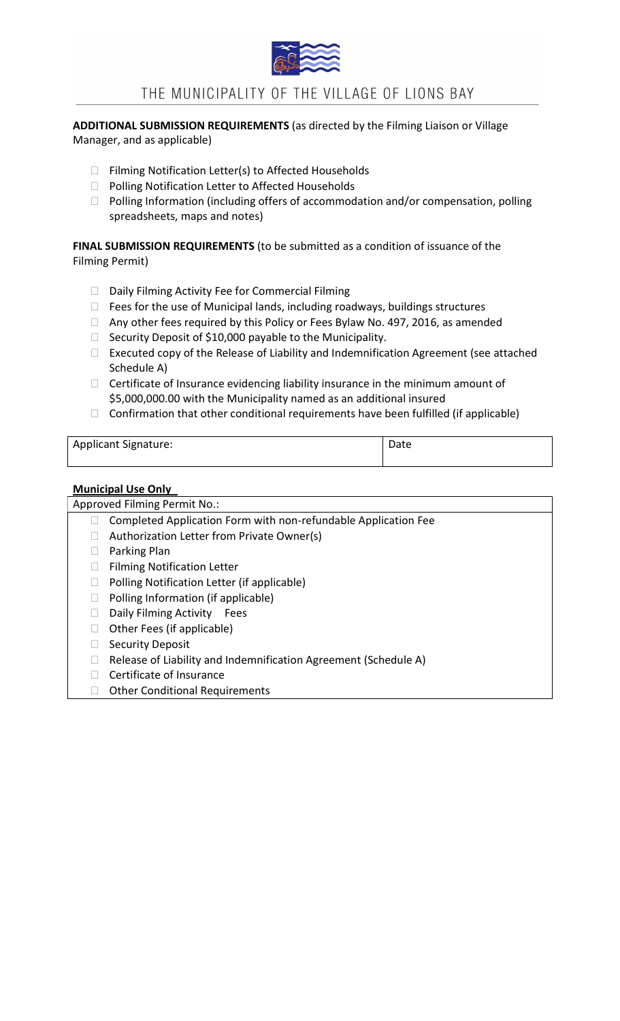

ADDITIONAL SUBMISSION REQUIREMENTS (as directed by the Filming Liaison or Village Manager, and as applicable)

- $\Box$  Filming Notification Letter(s) to Affected Households
- □ Polling Notification Letter to Affected Households
- $\Box$  Polling Information (including offers of accommodation and/or compensation, polling spreadsheets, maps and notes)

## FINAL SUBMISSION REQUIREMENTS (to be submitted as a condition of issuance of the Filming Permit)

- $\Box$  Daily Filming Activity Fee for Commercial Filming
- $\Box$  Fees for the use of Municipal lands, including roadways, buildings structures
- □ Any other fees required by this Policy or Fees Bylaw No. 497, 2016, as amended
- $\Box$  Security Deposit of \$10,000 payable to the Municipality.
- $\Box$  Executed copy of the Release of Liability and Indemnification Agreement (see attached Schedule A)
- $\Box$  Certificate of Insurance evidencing liability insurance in the minimum amount of \$5,000,000.00 with the Municipality named as an additional insured
- $\Box$  Confirmation that other conditional requirements have been fulfilled (if applicable)

| <b>Applicant Signature:</b> | Date |
|-----------------------------|------|
|                             |      |

#### Municipal Use Only

Approved Filming Permit No.:  $\Box$  Completed Application Form with non-refundable Application Fee  $\Box$  Authorization Letter from Private Owner(s) Parking Plan □ Filming Notification Letter  $\Box$  Polling Notification Letter (if applicable)  $\Box$  Polling Information (if applicable) D Daily Filming Activity Fees  $\Box$  Other Fees (if applicable) □ Security Deposit  $\Box$  Release of Liability and Indemnification Agreement (Schedule A) Certificate of Insurance □ Other Conditional Requirements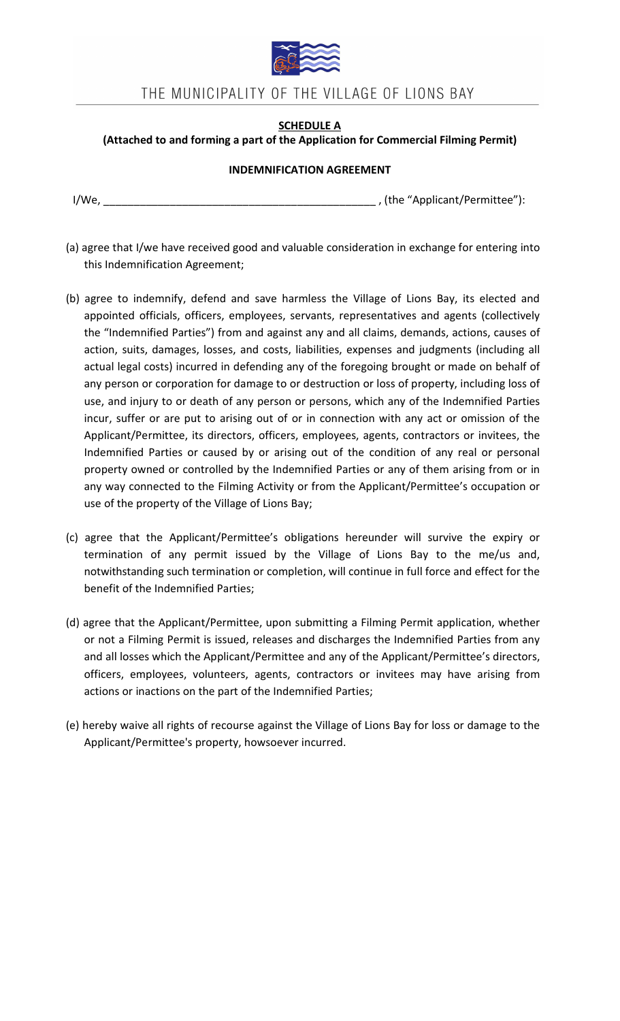

# SCHEDULE A

### (Attached to and forming a part of the Application for Commercial Filming Permit)

#### INDEMNIFICATION AGREEMENT

I/We, \_\_\_\_\_\_\_\_\_\_\_\_\_\_\_\_\_\_\_\_\_\_\_\_\_\_\_\_\_\_\_\_\_\_\_\_\_\_\_\_\_\_\_\_\_ , (the "Applicant/Permittee"):

- (a) agree that I/we have received good and valuable consideration in exchange for entering into this Indemnification Agreement;
- (b) agree to indemnify, defend and save harmless the Village of Lions Bay, its elected and appointed officials, officers, employees, servants, representatives and agents (collectively the "Indemnified Parties") from and against any and all claims, demands, actions, causes of action, suits, damages, losses, and costs, liabilities, expenses and judgments (including all actual legal costs) incurred in defending any of the foregoing brought or made on behalf of any person or corporation for damage to or destruction or loss of property, including loss of use, and injury to or death of any person or persons, which any of the Indemnified Parties incur, suffer or are put to arising out of or in connection with any act or omission of the Applicant/Permittee, its directors, officers, employees, agents, contractors or invitees, the Indemnified Parties or caused by or arising out of the condition of any real or personal property owned or controlled by the Indemnified Parties or any of them arising from or in any way connected to the Filming Activity or from the Applicant/Permittee's occupation or use of the property of the Village of Lions Bay;
- (c) agree that the Applicant/Permittee's obligations hereunder will survive the expiry or termination of any permit issued by the Village of Lions Bay to the me/us and, notwithstanding such termination or completion, will continue in full force and effect for the benefit of the Indemnified Parties;
- (d) agree that the Applicant/Permittee, upon submitting a Filming Permit application, whether or not a Filming Permit is issued, releases and discharges the Indemnified Parties from any and all losses which the Applicant/Permittee and any of the Applicant/Permittee's directors, officers, employees, volunteers, agents, contractors or invitees may have arising from actions or inactions on the part of the Indemnified Parties;
- (e) hereby waive all rights of recourse against the Village of Lions Bay for loss or damage to the Applicant/Permittee's property, howsoever incurred.